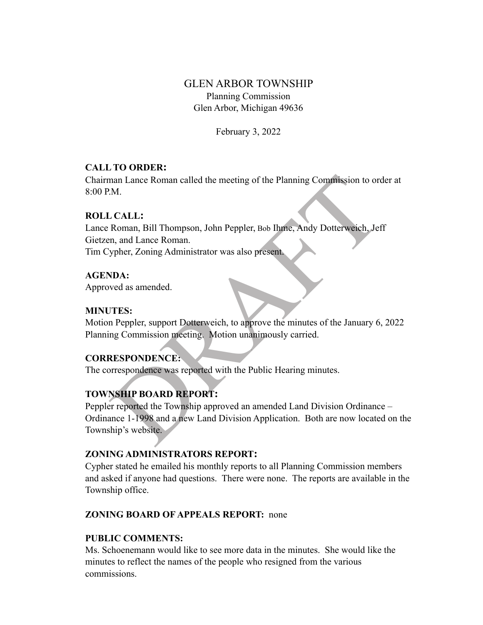# GLEN ARBOR TOWNSHIP Planning Commission Glen Arbor, Michigan 49636

February 3, 2022

## **CALL TO ORDER:**

Chairman Lance Roman called the meeting of the Planning Commission to order at 8:00 P.M.

#### **ROLL CALL:**

man Lance Roman called the meeting of the Planning Commission to order<br>
M.<br>
CALL:<br>
Roman, Bill Thompson, John Peppler, Bob Ihme, Andy Dotterweich, Jef<br>
m, and Lance Roman.<br>
Spher, Zoning Administrator was also present<br>
NDA Lance Roman, Bill Thompson, John Peppler, Bob Ihme, Andy Dotterweich, Jeff Gietzen, and Lance Roman. Tim Cypher, Zoning Administrator was also present.

#### **AGENDA:**

Approved as amended.

#### **MINUTES:**

Motion Peppler, support Dotterweich, to approve the minutes of the January 6, 2022 Planning Commission meeting. Motion unanimously carried.

#### **CORRESPONDENCE:**

The correspondence was reported with the Public Hearing minutes.

## **TOWNSHIP BOARD REPORT:**

Peppler reported the Township approved an amended Land Division Ordinance – Ordinance 1-1998 and a new Land Division Application. Both are now located on the Township's website.

## **ZONING ADMINISTRATORS REPORT:**

Cypher stated he emailed his monthly reports to all Planning Commission members and asked if anyone had questions. There were none. The reports are available in the Township office.

#### **ZONING BOARD OF APPEALS REPORT:** none

#### **PUBLIC COMMENTS:**

Ms. Schoenemann would like to see more data in the minutes. She would like the minutes to reflect the names of the people who resigned from the various commissions.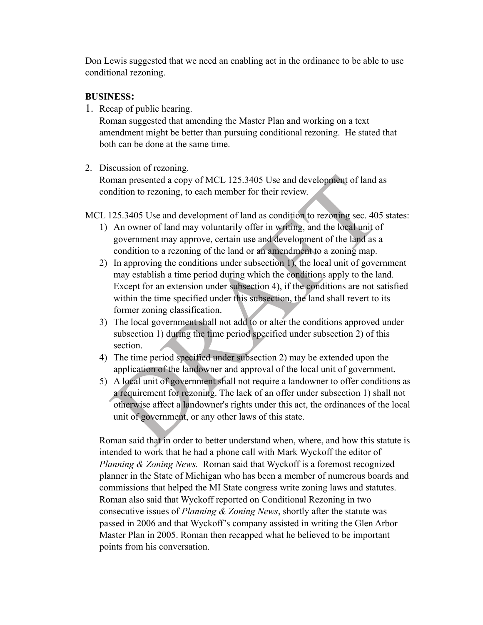Don Lewis suggested that we need an enabling act in the ordinance to be able to use conditional rezoning.

## **BUSINESS:**

1. Recap of public hearing.

Roman suggested that amending the Master Plan and working on a text amendment might be better than pursuing conditional rezoning. He stated that both can be done at the same time.

## 2. Discussion of rezoning.

Roman presented a copy of MCL 125.3405 Use and development of land as condition to rezoning, to each member for their review.

MCL 125.3405 Use and development of land as condition to rezoning sec. 405 states:

- 1) An owner of land may voluntarily offer in writing, and the local unit of government may approve, certain use and development of the land as a condition to a rezoning of the land or an amendment to a zoning map.
- man presented a copy of MCL 125.3405 Use and development of land a<br>adition to rezoning, to each member for their review.<br>125.3405 Use and development of land as condition to rezoning sec. 405<br>An owner of land may voluntari 2) In approving the conditions under subsection 1), the local unit of government may establish a time period during which the conditions apply to the land. Except for an extension under subsection 4), if the conditions are not satisfied within the time specified under this subsection, the land shall revert to its former zoning classification.
- 3) The local government shall not add to or alter the conditions approved under subsection 1) during the time period specified under subsection 2) of this section.
- 4) The time period specified under subsection 2) may be extended upon the application of the landowner and approval of the local unit of government.
- 5) A local unit of government shall not require a landowner to offer conditions as a requirement for rezoning. The lack of an offer under subsection 1) shall not otherwise affect a landowner's rights under this act, the ordinances of the local unit of government, or any other laws of this state.

Roman said that in order to better understand when, where, and how this statute is intended to work that he had a phone call with Mark Wyckoff the editor of *Planning & Zoning News.* Roman said that Wyckoff is a foremost recognized planner in the State of Michigan who has been a member of numerous boards and commissions that helped the MI State congress write zoning laws and statutes. Roman also said that Wyckoff reported on Conditional Rezoning in two consecutive issues of *Planning & Zoning News*, shortly after the statute was passed in 2006 and that Wyckoff's company assisted in writing the Glen Arbor Master Plan in 2005. Roman then recapped what he believed to be important points from his conversation.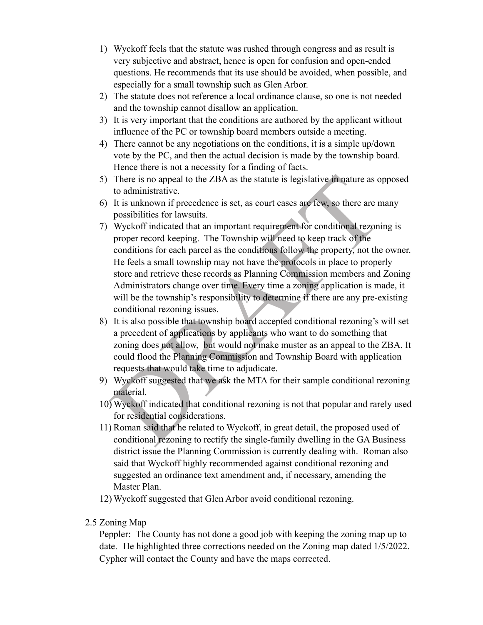- 1) Wyckoff feels that the statute was rushed through congress and as result is very subjective and abstract, hence is open for confusion and open-ended questions. He recommends that its use should be avoided, when possible, and especially for a small township such as Glen Arbor.
- 2) The statute does not reference a local ordinance clause, so one is not needed and the township cannot disallow an application.
- 3) It is very important that the conditions are authored by the applicant without influence of the PC or township board members outside a meeting.
- 4) There cannot be any negotiations on the conditions, it is a simple up/down vote by the PC, and then the actual decision is made by the township board. Hence there is not a necessity for a finding of facts.
- 5) There is no appeal to the ZBA as the statute is legislative in nature as opposed to administrative.
- 6) It is unknown if precedence is set, as court cases are few, so there are many possibilities for lawsuits.
- There is no appeal to the ZBA as the statute is legislative in nature as o<br>to administrative.<br>It is unknown if precedence is set, as court cases are few, so there are m<br>is unknown if precedence is set, as court cases are f 7) Wyckoff indicated that an important requirement for conditional rezoning is proper record keeping. The Township will need to keep track of the conditions for each parcel as the conditions follow the property, not the owner. He feels a small township may not have the protocols in place to properly store and retrieve these records as Planning Commission members and Zoning Administrators change over time. Every time a zoning application is made, it will be the township's responsibility to determine if there are any pre-existing conditional rezoning issues.
- 8) It is also possible that township board accepted conditional rezoning's will set a precedent of applications by applicants who want to do something that zoning does not allow, but would not make muster as an appeal to the ZBA. It could flood the Planning Commission and Township Board with application requests that would take time to adjudicate.
- 9) Wyckoff suggested that we ask the MTA for their sample conditional rezoning material.
- 10) Wyckoff indicated that conditional rezoning is not that popular and rarely used for residential considerations.
- 11) Roman said that he related to Wyckoff, in great detail, the proposed used of conditional rezoning to rectify the single-family dwelling in the GA Business district issue the Planning Commission is currently dealing with. Roman also said that Wyckoff highly recommended against conditional rezoning and suggested an ordinance text amendment and, if necessary, amending the Master Plan.
- 12) Wyckoff suggested that Glen Arbor avoid conditional rezoning.
- 2.5 Zoning Map

Peppler: The County has not done a good job with keeping the zoning map up to date.He highlighted three corrections needed on the Zoning map dated 1/5/2022. Cypher will contact the County and have the maps corrected.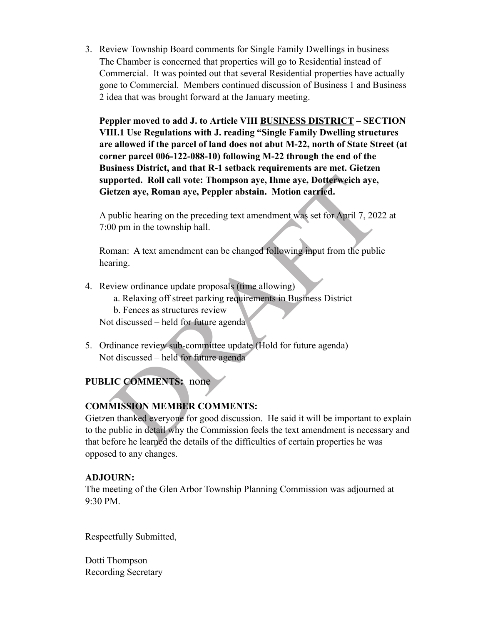3. Review Township Board comments for Single Family Dwellings in business The Chamber is concerned that properties will go to Residential instead of Commercial. It was pointed out that several Residential properties have actually gone to Commercial. Members continued discussion of Business 1 and Business 2 idea that was brought forward at the January meeting.

**Peppler moved to add J. to Article VIII BUSINESS DISTRICT – SECTION VIII.1 Use Regulations with J. reading "Single Family Dwelling structures are allowed if the parcel of land does not abut M-22, north of State Street (at corner parcel 006-122-088-10) following M-22 through the end of the Business District, and that R-1 setback requirements are met. Gietzen supported. Roll call vote: Thompson aye, Ihme aye, Dotterweich aye, Gietzen aye, Roman aye, Peppler abstain. Motion carried.**

A public hearing on the preceding text amendment was set for April 7, 2022 at 7:00 pm in the township hall.

Roman: A text amendment can be changed following input from the public hearing.

- 4. Review ordinance update proposals (time allowing)
	- a. Relaxing off street parking requirements in Business District
	- b. Fences as structures review

Not discussed – held for future agenda

5. Ordinance review sub-committee update (Hold for future agenda) Not discussed – held for future agenda

## **PUBLIC COMMENTS:** none

## **COMMISSION MEMBER COMMENTS:**

**propried. Roll call vote: Thompson aye, Ihme aye, Dotterweich aye,**<br>
etzen aye, Roman aye, Peppler abstain. Motion carried.<br>
public hearing on the preceding text amendment was set for April 7, 202.<br>
00 pm in the township Gietzen thanked everyone for good discussion. He said it will be important to explain to the public in detail why the Commission feels the text amendment is necessary and that before he learned the details of the difficulties of certain properties he was opposed to any changes.

## **ADJOURN:**

The meeting of the Glen Arbor Township Planning Commission was adjourned at 9:30 PM.

Respectfully Submitted,

Dotti Thompson Recording Secretary